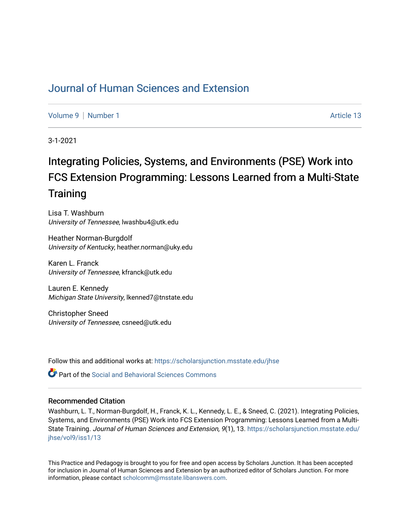## [Journal of Human Sciences and Extension](https://scholarsjunction.msstate.edu/jhse)

[Volume 9](https://scholarsjunction.msstate.edu/jhse/vol9) | [Number 1](https://scholarsjunction.msstate.edu/jhse/vol9/iss1) Article 13

3-1-2021

# Integrating Policies, Systems, and Environments (PSE) Work into FCS Extension Programming: Lessons Learned from a Multi-State **Training**

Lisa T. Washburn University of Tennessee, lwashbu4@utk.edu

Heather Norman-Burgdolf University of Kentucky, heather.norman@uky.edu

Karen L. Franck University of Tennessee, kfranck@utk.edu

Lauren E. Kennedy Michigan State University, lkenned7@tnstate.edu

Christopher Sneed University of Tennessee, csneed@utk.edu

Follow this and additional works at: [https://scholarsjunction.msstate.edu/jhse](https://scholarsjunction.msstate.edu/jhse?utm_source=scholarsjunction.msstate.edu%2Fjhse%2Fvol9%2Fiss1%2F13&utm_medium=PDF&utm_campaign=PDFCoverPages)

**C** Part of the Social and Behavioral Sciences Commons

#### Recommended Citation

Washburn, L. T., Norman-Burgdolf, H., Franck, K. L., Kennedy, L. E., & Sneed, C. (2021). Integrating Policies, Systems, and Environments (PSE) Work into FCS Extension Programming: Lessons Learned from a MultiState Training. Journal of Human Sciences and Extension, 9(1), 13. [https://scholarsjunction.msstate.edu/](https://scholarsjunction.msstate.edu/jhse/vol9/iss1/13?utm_source=scholarsjunction.msstate.edu%2Fjhse%2Fvol9%2Fiss1%2F13&utm_medium=PDF&utm_campaign=PDFCoverPages) [jhse/vol9/iss1/13](https://scholarsjunction.msstate.edu/jhse/vol9/iss1/13?utm_source=scholarsjunction.msstate.edu%2Fjhse%2Fvol9%2Fiss1%2F13&utm_medium=PDF&utm_campaign=PDFCoverPages) 

This Practice and Pedagogy is brought to you for free and open access by Scholars Junction. It has been accepted for inclusion in Journal of Human Sciences and Extension by an authorized editor of Scholars Junction. For more information, please contact [scholcomm@msstate.libanswers.com](mailto:scholcomm@msstate.libanswers.com).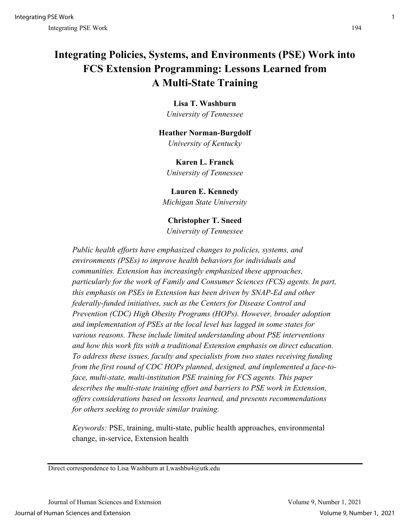## **Integrating Policies, Systems, and Environments (PSE) Work into FCS Extension Programming: Lessons Learned from A Multi-State Training**

**Lisa T. Washburn**  *University of Tennessee*

## **Heather Norman-Burgdolf** *University of Kentucky*

**Karen L. Franck** *University of Tennessee*

**Lauren E. Kennedy** *Michigan State University* 

**Christopher T. Sneed** *University of Tennessee*

*Public health efforts have emphasized changes to policies, systems, and environments (PSEs) to improve health behaviors for individuals and communities. Extension has increasingly emphasized these approaches, particularly for the work of Family and Consumer Sciences (FCS) agents. In part, this emphasis on PSEs in Extension has been driven by SNAP-Ed and other federally-funded initiatives, such as the Centers for Disease Control and Prevention (CDC) High Obesity Programs (HOPs). However, broader adoption and implementation of PSEs at the local level has lagged in some states for various reasons. These include limited understanding about PSE interventions and how this work fits with a traditional Extension emphasis on direct education. To address these issues, faculty and specialists from two states receiving funding from the first round of CDC HOPs planned, designed, and implemented a face-toface, multi-state, multi-institution PSE training for FCS agents. This paper describes the multi-state training effort and barriers to PSE work in Extension, offers considerations based on lessons learned, and presents recommendations for others seeking to provide similar training.* 

*Keywords:* PSE, training, multi-state, public health approaches, environmental change, in-service, Extension health

Direct correspondence to Lisa Washburn at Lwashbu4@utk.edu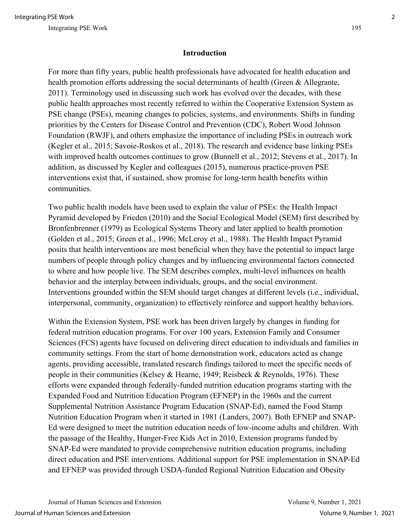#### **Introduction**

For more than fifty years, public health professionals have advocated for health education and health promotion efforts addressing the social determinants of health (Green & Allegrante, 2011). Terminology used in discussing such work has evolved over the decades, with these public health approaches most recently referred to within the Cooperative Extension System as PSE change (PSEs), meaning changes to policies, systems, and environments. Shifts in funding priorities by the Centers for Disease Control and Prevention (CDC), Robert Wood Johnson Foundation (RWJF), and others emphasize the importance of including PSEs in outreach work (Kegler et al., 2015; Savoie-Roskos et al., 2018). The research and evidence base linking PSEs with improved health outcomes continues to grow (Bunnell et al., 2012; Stevens et al., 2017). In addition, as discussed by Kegler and colleagues (2015), numerous practice-proven PSE interventions exist that, if sustained, show promise for long-term health benefits within communities.

Two public health models have been used to explain the value of PSEs: the Health Impact Pyramid developed by Frieden (2010) and the Social Ecological Model (SEM) first described by Bronfenbrenner (1979) as Ecological Systems Theory and later applied to health promotion (Golden et al., 2015; Green et al., 1996; McLeroy et al., 1988). The Health Impact Pyramid posits that health interventions are most beneficial when they have the potential to impact large numbers of people through policy changes and by influencing environmental factors connected to where and how people live. The SEM describes complex, multi-level influences on health behavior and the interplay between individuals, groups, and the social environment. Interventions grounded within the SEM should target changes at different levels (i.e., individual, interpersonal, community, organization) to effectively reinforce and support healthy behaviors.

Within the Extension System, PSE work has been driven largely by changes in funding for federal nutrition education programs. For over 100 years, Extension Family and Consumer Sciences (FCS) agents have focused on delivering direct education to individuals and families in community settings. From the start of home demonstration work, educators acted as change agents, providing accessible, translated research findings tailored to meet the specific needs of people in their communities (Kelsey & Hearne, 1949; Reisbeck & Reynolds, 1976). These efforts were expanded through federally-funded nutrition education programs starting with the Expanded Food and Nutrition Education Program (EFNEP) in the 1960s and the current Supplemental Nutrition Assistance Program Education (SNAP-Ed), named the Food Stamp Nutrition Education Program when it started in 1981 (Landers, 2007). Both EFNEP and SNAP-Ed were designed to meet the nutrition education needs of low-income adults and children. With the passage of the Healthy, Hunger-Free Kids Act in 2010, Extension programs funded by SNAP-Ed were mandated to provide comprehensive nutrition education programs, including direct education and PSE interventions. Additional support for PSE implementation in SNAP-Ed and EFNEP was provided through USDA-funded Regional Nutrition Education and Obesity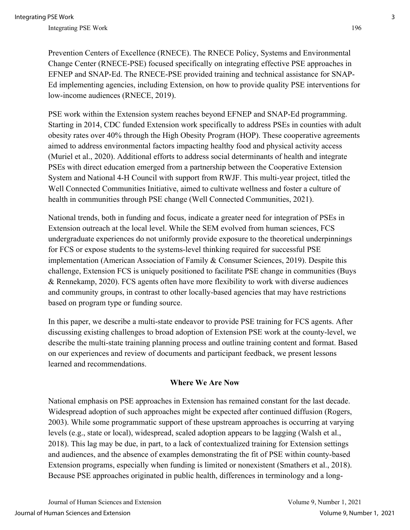Prevention Centers of Excellence (RNECE). The RNECE Policy, Systems and Environmental Change Center (RNECE-PSE) focused specifically on integrating effective PSE approaches in EFNEP and SNAP-Ed. The RNECE-PSE provided training and technical assistance for SNAP-Ed implementing agencies, including Extension, on how to provide quality PSE interventions for low-income audiences (RNECE, 2019).

PSE work within the Extension system reaches beyond EFNEP and SNAP-Ed programming. Starting in 2014, CDC funded Extension work specifically to address PSEs in counties with adult obesity rates over 40% through the High Obesity Program (HOP). These cooperative agreements aimed to address environmental factors impacting healthy food and physical activity access (Muriel et al., 2020). Additional efforts to address social determinants of health and integrate PSEs with direct education emerged from a partnership between the Cooperative Extension System and National 4-H Council with support from RWJF. This multi-year project, titled the Well Connected Communities Initiative, aimed to cultivate wellness and foster a culture of health in communities through PSE change (Well Connected Communities, 2021).

National trends, both in funding and focus, indicate a greater need for integration of PSEs in Extension outreach at the local level. While the SEM evolved from human sciences, FCS undergraduate experiences do not uniformly provide exposure to the theoretical underpinnings for FCS or expose students to the systems-level thinking required for successful PSE implementation (American Association of Family & Consumer Sciences, 2019). Despite this challenge, Extension FCS is uniquely positioned to facilitate PSE change in communities (Buys & Rennekamp, 2020). FCS agents often have more flexibility to work with diverse audiences and community groups, in contrast to other locally-based agencies that may have restrictions based on program type or funding source.

In this paper, we describe a multi-state endeavor to provide PSE training for FCS agents. After discussing existing challenges to broad adoption of Extension PSE work at the county-level, we describe the multi-state training planning process and outline training content and format. Based on our experiences and review of documents and participant feedback, we present lessons learned and recommendations.

#### **Where We Are Now**

National emphasis on PSE approaches in Extension has remained constant for the last decade. Widespread adoption of such approaches might be expected after continued diffusion (Rogers, 2003). While some programmatic support of these upstream approaches is occurring at varying levels (e.g., state or local), widespread, scaled adoption appears to be lagging (Walsh et al., 2018). This lag may be due, in part, to a lack of contextualized training for Extension settings and audiences, and the absence of examples demonstrating the fit of PSE within county-based Extension programs, especially when funding is limited or nonexistent (Smathers et al., 2018). Because PSE approaches originated in public health, differences in terminology and a long-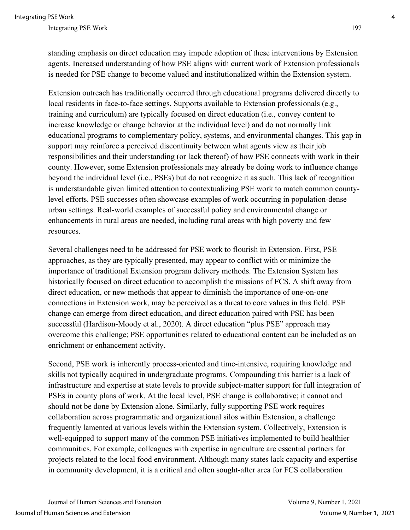standing emphasis on direct education may impede adoption of these interventions by Extension agents. Increased understanding of how PSE aligns with current work of Extension professionals is needed for PSE change to become valued and institutionalized within the Extension system.

Extension outreach has traditionally occurred through educational programs delivered directly to local residents in face-to-face settings. Supports available to Extension professionals (e.g., training and curriculum) are typically focused on direct education (i.e., convey content to increase knowledge or change behavior at the individual level) and do not normally link educational programs to complementary policy, systems, and environmental changes. This gap in support may reinforce a perceived discontinuity between what agents view as their job responsibilities and their understanding (or lack thereof) of how PSE connects with work in their county. However, some Extension professionals may already be doing work to influence change beyond the individual level (i.e., PSEs) but do not recognize it as such. This lack of recognition is understandable given limited attention to contextualizing PSE work to match common countylevel efforts. PSE successes often showcase examples of work occurring in population-dense urban settings. Real-world examples of successful policy and environmental change or enhancements in rural areas are needed, including rural areas with high poverty and few resources.

Several challenges need to be addressed for PSE work to flourish in Extension. First, PSE approaches, as they are typically presented, may appear to conflict with or minimize the importance of traditional Extension program delivery methods. The Extension System has historically focused on direct education to accomplish the missions of FCS. A shift away from direct education, or new methods that appear to diminish the importance of one-on-one connections in Extension work, may be perceived as a threat to core values in this field. PSE change can emerge from direct education, and direct education paired with PSE has been successful (Hardison-Moody et al., 2020). A direct education "plus PSE" approach may overcome this challenge; PSE opportunities related to educational content can be included as an enrichment or enhancement activity.

Second, PSE work is inherently process-oriented and time-intensive, requiring knowledge and skills not typically acquired in undergraduate programs. Compounding this barrier is a lack of infrastructure and expertise at state levels to provide subject-matter support for full integration of PSEs in county plans of work. At the local level, PSE change is collaborative; it cannot and should not be done by Extension alone. Similarly, fully supporting PSE work requires collaboration across programmatic and organizational silos within Extension, a challenge frequently lamented at various levels within the Extension system. Collectively, Extension is well-equipped to support many of the common PSE initiatives implemented to build healthier communities. For example, colleagues with expertise in agriculture are essential partners for projects related to the local food environment. Although many states lack capacity and expertise in community development, it is a critical and often sought-after area for FCS collaboration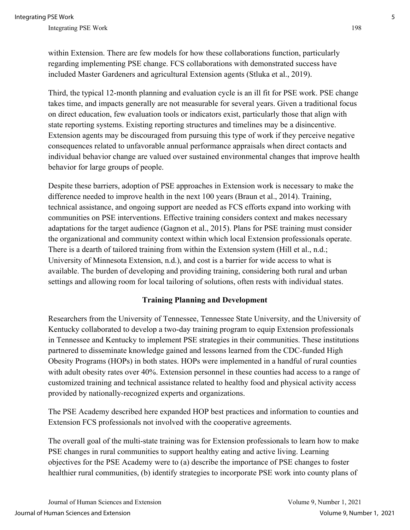within Extension. There are few models for how these collaborations function, particularly regarding implementing PSE change. FCS collaborations with demonstrated success have included Master Gardeners and agricultural Extension agents (Stluka et al., 2019).

Third, the typical 12-month planning and evaluation cycle is an ill fit for PSE work. PSE change takes time, and impacts generally are not measurable for several years. Given a traditional focus on direct education, few evaluation tools or indicators exist, particularly those that align with state reporting systems. Existing reporting structures and timelines may be a disincentive. Extension agents may be discouraged from pursuing this type of work if they perceive negative consequences related to unfavorable annual performance appraisals when direct contacts and individual behavior change are valued over sustained environmental changes that improve health behavior for large groups of people.

Despite these barriers, adoption of PSE approaches in Extension work is necessary to make the difference needed to improve health in the next 100 years (Braun et al., 2014). Training, technical assistance, and ongoing support are needed as FCS efforts expand into working with communities on PSE interventions. Effective training considers context and makes necessary adaptations for the target audience (Gagnon et al., 2015). Plans for PSE training must consider the organizational and community context within which local Extension professionals operate. There is a dearth of tailored training from within the Extension system (Hill et al., n.d.; University of Minnesota Extension, n.d.), and cost is a barrier for wide access to what is available. The burden of developing and providing training, considering both rural and urban settings and allowing room for local tailoring of solutions, often rests with individual states.

#### **Training Planning and Development**

Researchers from the University of Tennessee, Tennessee State University, and the University of Kentucky collaborated to develop a two-day training program to equip Extension professionals in Tennessee and Kentucky to implement PSE strategies in their communities. These institutions partnered to disseminate knowledge gained and lessons learned from the CDC-funded High Obesity Programs (HOPs) in both states. HOPs were implemented in a handful of rural counties with adult obesity rates over 40%. Extension personnel in these counties had access to a range of customized training and technical assistance related to healthy food and physical activity access provided by nationally-recognized experts and organizations.

The PSE Academy described here expanded HOP best practices and information to counties and Extension FCS professionals not involved with the cooperative agreements.

The overall goal of the multi-state training was for Extension professionals to learn how to make PSE changes in rural communities to support healthy eating and active living. Learning objectives for the PSE Academy were to (a) describe the importance of PSE changes to foster healthier rural communities, (b) identify strategies to incorporate PSE work into county plans of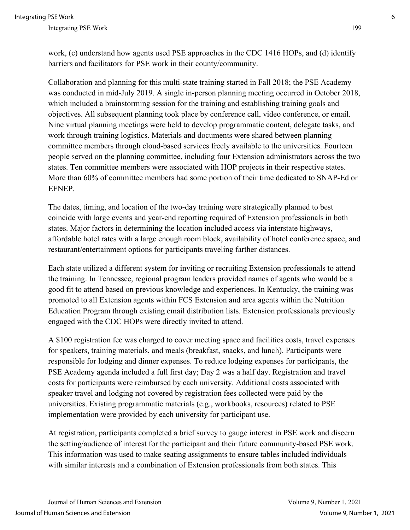work, (c) understand how agents used PSE approaches in the CDC 1416 HOPs, and (d) identify barriers and facilitators for PSE work in their county/community.

Collaboration and planning for this multi-state training started in Fall 2018; the PSE Academy was conducted in mid-July 2019. A single in-person planning meeting occurred in October 2018, which included a brainstorming session for the training and establishing training goals and objectives. All subsequent planning took place by conference call, video conference, or email. Nine virtual planning meetings were held to develop programmatic content, delegate tasks, and work through training logistics. Materials and documents were shared between planning committee members through cloud-based services freely available to the universities. Fourteen people served on the planning committee, including four Extension administrators across the two states. Ten committee members were associated with HOP projects in their respective states. More than 60% of committee members had some portion of their time dedicated to SNAP-Ed or EFNEP.

The dates, timing, and location of the two-day training were strategically planned to best coincide with large events and year-end reporting required of Extension professionals in both states. Major factors in determining the location included access via interstate highways, affordable hotel rates with a large enough room block, availability of hotel conference space, and restaurant/entertainment options for participants traveling farther distances.

Each state utilized a different system for inviting or recruiting Extension professionals to attend the training. In Tennessee, regional program leaders provided names of agents who would be a good fit to attend based on previous knowledge and experiences. In Kentucky, the training was promoted to all Extension agents within FCS Extension and area agents within the Nutrition Education Program through existing email distribution lists. Extension professionals previously engaged with the CDC HOPs were directly invited to attend.

A \$100 registration fee was charged to cover meeting space and facilities costs, travel expenses for speakers, training materials, and meals (breakfast, snacks, and lunch). Participants were responsible for lodging and dinner expenses. To reduce lodging expenses for participants, the PSE Academy agenda included a full first day; Day 2 was a half day. Registration and travel costs for participants were reimbursed by each university. Additional costs associated with speaker travel and lodging not covered by registration fees collected were paid by the universities. Existing programmatic materials (e.g., workbooks, resources) related to PSE implementation were provided by each university for participant use.

At registration, participants completed a brief survey to gauge interest in PSE work and discern the setting/audience of interest for the participant and their future community-based PSE work. This information was used to make seating assignments to ensure tables included individuals with similar interests and a combination of Extension professionals from both states. This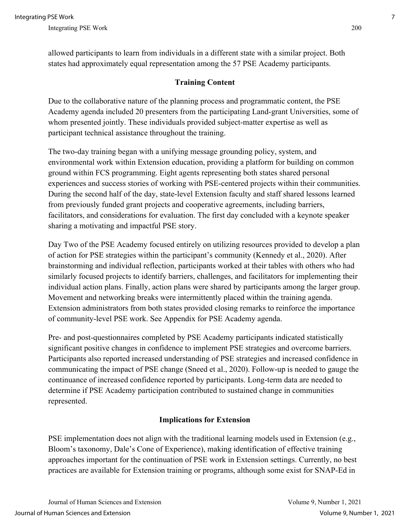allowed participants to learn from individuals in a different state with a similar project. Both states had approximately equal representation among the 57 PSE Academy participants.

## **Training Content**

Due to the collaborative nature of the planning process and programmatic content, the PSE Academy agenda included 20 presenters from the participating Land-grant Universities, some of whom presented jointly. These individuals provided subject-matter expertise as well as participant technical assistance throughout the training.

The two-day training began with a unifying message grounding policy, system, and environmental work within Extension education, providing a platform for building on common ground within FCS programming. Eight agents representing both states shared personal experiences and success stories of working with PSE-centered projects within their communities. During the second half of the day, state-level Extension faculty and staff shared lessons learned from previously funded grant projects and cooperative agreements, including barriers, facilitators, and considerations for evaluation. The first day concluded with a keynote speaker sharing a motivating and impactful PSE story.

Day Two of the PSE Academy focused entirely on utilizing resources provided to develop a plan of action for PSE strategies within the participant's community (Kennedy et al., 2020). After brainstorming and individual reflection, participants worked at their tables with others who had similarly focused projects to identify barriers, challenges, and facilitators for implementing their individual action plans. Finally, action plans were shared by participants among the larger group. Movement and networking breaks were intermittently placed within the training agenda. Extension administrators from both states provided closing remarks to reinforce the importance of community-level PSE work. See Appendix for PSE Academy agenda.

Pre- and post-questionnaires completed by PSE Academy participants indicated statistically significant positive changes in confidence to implement PSE strategies and overcome barriers. Participants also reported increased understanding of PSE strategies and increased confidence in communicating the impact of PSE change (Sneed et al., 2020). Follow-up is needed to gauge the continuance of increased confidence reported by participants. Long-term data are needed to determine if PSE Academy participation contributed to sustained change in communities represented.

#### **Implications for Extension**

PSE implementation does not align with the traditional learning models used in Extension (e.g., Bloom's taxonomy, Dale's Cone of Experience), making identification of effective training approaches important for the continuation of PSE work in Extension settings. Currently, no best practices are available for Extension training or programs, although some exist for SNAP-Ed in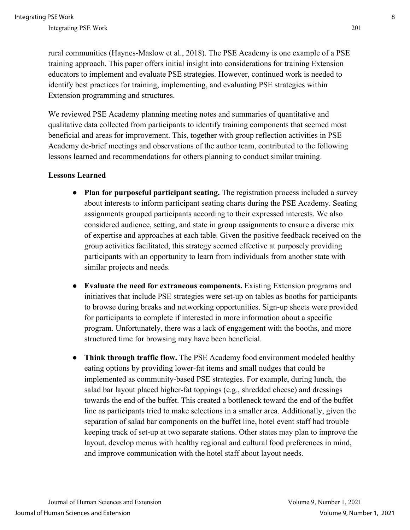rural communities (Haynes-Maslow et al., 2018). The PSE Academy is one example of a PSE training approach. This paper offers initial insight into considerations for training Extension educators to implement and evaluate PSE strategies. However, continued work is needed to identify best practices for training, implementing, and evaluating PSE strategies within Extension programming and structures.

We reviewed PSE Academy planning meeting notes and summaries of quantitative and qualitative data collected from participants to identify training components that seemed most beneficial and areas for improvement. This, together with group reflection activities in PSE Academy de-brief meetings and observations of the author team, contributed to the following lessons learned and recommendations for others planning to conduct similar training.

#### **Lessons Learned**

- **Plan for purposeful participant seating.** The registration process included a survey about interests to inform participant seating charts during the PSE Academy. Seating assignments grouped participants according to their expressed interests. We also considered audience, setting, and state in group assignments to ensure a diverse mix of expertise and approaches at each table. Given the positive feedback received on the group activities facilitated, this strategy seemed effective at purposely providing participants with an opportunity to learn from individuals from another state with similar projects and needs.
- **Evaluate the need for extraneous components.** Existing Extension programs and initiatives that include PSE strategies were set-up on tables as booths for participants to browse during breaks and networking opportunities. Sign-up sheets were provided for participants to complete if interested in more information about a specific program. Unfortunately, there was a lack of engagement with the booths, and more structured time for browsing may have been beneficial.
- **Think through traffic flow.** The PSE Academy food environment modeled healthy eating options by providing lower-fat items and small nudges that could be implemented as community-based PSE strategies. For example, during lunch, the salad bar layout placed higher-fat toppings (e.g., shredded cheese) and dressings towards the end of the buffet. This created a bottleneck toward the end of the buffet line as participants tried to make selections in a smaller area. Additionally, given the separation of salad bar components on the buffet line, hotel event staff had trouble keeping track of set-up at two separate stations. Other states may plan to improve the layout, develop menus with healthy regional and cultural food preferences in mind, and improve communication with the hotel staff about layout needs.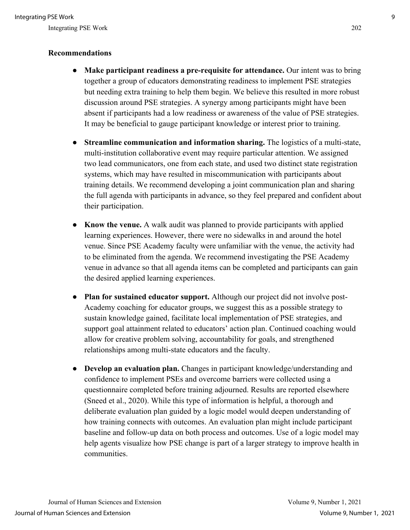#### **Recommendations**

- **Make participant readiness a pre-requisite for attendance.** Our intent was to bring together a group of educators demonstrating readiness to implement PSE strategies but needing extra training to help them begin. We believe this resulted in more robust discussion around PSE strategies. A synergy among participants might have been absent if participants had a low readiness or awareness of the value of PSE strategies. It may be beneficial to gauge participant knowledge or interest prior to training.
- **Streamline communication and information sharing.** The logistics of a multi-state, multi-institution collaborative event may require particular attention. We assigned two lead communicators, one from each state, and used two distinct state registration systems, which may have resulted in miscommunication with participants about training details. We recommend developing a joint communication plan and sharing the full agenda with participants in advance, so they feel prepared and confident about their participation.
- **Know the venue.** A walk audit was planned to provide participants with applied learning experiences. However, there were no sidewalks in and around the hotel venue. Since PSE Academy faculty were unfamiliar with the venue, the activity had to be eliminated from the agenda. We recommend investigating the PSE Academy venue in advance so that all agenda items can be completed and participants can gain the desired applied learning experiences.
- **Plan for sustained educator support.** Although our project did not involve post-Academy coaching for educator groups, we suggest this as a possible strategy to sustain knowledge gained, facilitate local implementation of PSE strategies, and support goal attainment related to educators' action plan. Continued coaching would allow for creative problem solving, accountability for goals, and strengthened relationships among multi-state educators and the faculty.
- **Develop an evaluation plan.** Changes in participant knowledge/understanding and confidence to implement PSEs and overcome barriers were collected using a questionnaire completed before training adjourned. Results are reported elsewhere (Sneed et al., 2020). While this type of information is helpful, a thorough and deliberate evaluation plan guided by a logic model would deepen understanding of how training connects with outcomes. An evaluation plan might include participant baseline and follow-up data on both process and outcomes. Use of a logic model may help agents visualize how PSE change is part of a larger strategy to improve health in communities.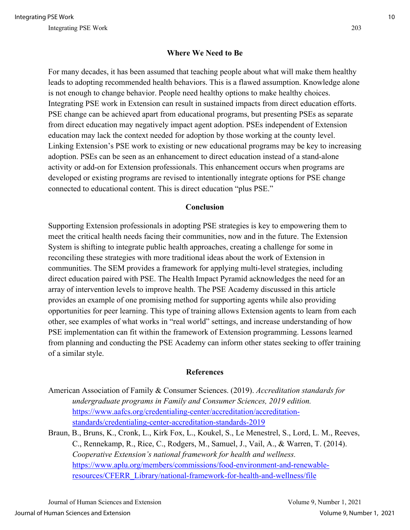#### **Where We Need to Be**

For many decades, it has been assumed that teaching people about what will make them healthy leads to adopting recommended health behaviors. This is a flawed assumption. Knowledge alone is not enough to change behavior. People need healthy options to make healthy choices. Integrating PSE work in Extension can result in sustained impacts from direct education efforts. PSE change can be achieved apart from educational programs, but presenting PSEs as separate from direct education may negatively impact agent adoption. PSEs independent of Extension education may lack the context needed for adoption by those working at the county level. Linking Extension's PSE work to existing or new educational programs may be key to increasing adoption. PSEs can be seen as an enhancement to direct education instead of a stand-alone activity or add-on for Extension professionals. This enhancement occurs when programs are developed or existing programs are revised to intentionally integrate options for PSE change connected to educational content. This is direct education "plus PSE."

#### **Conclusion**

Supporting Extension professionals in adopting PSE strategies is key to empowering them to meet the critical health needs facing their communities, now and in the future. The Extension System is shifting to integrate public health approaches, creating a challenge for some in reconciling these strategies with more traditional ideas about the work of Extension in communities. The SEM provides a framework for applying multi-level strategies, including direct education paired with PSE. The Health Impact Pyramid acknowledges the need for an array of intervention levels to improve health. The PSE Academy discussed in this article provides an example of one promising method for supporting agents while also providing opportunities for peer learning. This type of training allows Extension agents to learn from each other, see examples of what works in "real world" settings, and increase understanding of how PSE implementation can fit within the framework of Extension programming. Lessons learned from planning and conducting the PSE Academy can inform other states seeking to offer training of a similar style.

#### **References**

- American Association of Family & Consumer Sciences. (2019). *Accreditation standards for undergraduate programs in Family and Consumer Sciences, 2019 edition.*  [https://www.aafcs.org/credentialing-center/accreditation/accreditation](https://www.aafcs.org/credentialing-center/accreditation/accreditation-standards/credentialing-center-accreditation-standards-2019)[standards/credentialing-center-accreditation-standards-2019](https://www.aafcs.org/credentialing-center/accreditation/accreditation-standards/credentialing-center-accreditation-standards-2019)
- Braun, B., Bruns, K., Cronk, L., Kirk Fox, L., Koukel, S., Le Menestrel, S., Lord, L. M., Reeves, C., Rennekamp, R., Rice, C., Rodgers, M., Samuel, J., Vail, A., & Warren, T. (2014). *Cooperative Extension's national framework for health and wellness.* [https://www.aplu.org/members/commissions/food-environment-and-renewable](https://www.aplu.org/members/commissions/food-environment-and-renewable-resources/CFERR_Library/national-framework-for-health-and-wellness/file)[resources/CFERR\\_Library/national-framework-for-health-and-wellness/file](https://www.aplu.org/members/commissions/food-environment-and-renewable-resources/CFERR_Library/national-framework-for-health-and-wellness/file)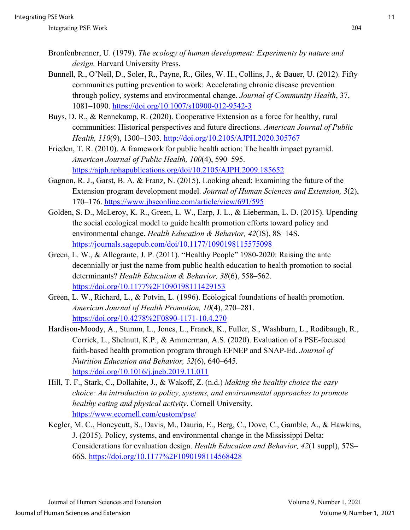- Bronfenbrenner, U. (1979). *The ecology of human development: Experiments by nature and design.* Harvard University Press.
- Bunnell, R., O'Neil, D., Soler, R., Payne, R., Giles, W. H., Collins, J., & Bauer, U. (2012). Fifty communities putting prevention to work: Accelerating chronic disease prevention through policy, systems and environmental change. *Journal of Community Health*, 37, 1081–1090.<https://doi.org/10.1007/s10900-012-9542-3>
- Buys, D. R., & Rennekamp, R. (2020). Cooperative Extension as a force for healthy, rural communities: Historical perspectives and future directions. *American Journal of Public Health, 110*(9), 1300–1303*.* <http://doi.org/10.2105/AJPH.2020.305767>
- Frieden, T. R. (2010). A framework for public health action: The health impact pyramid. *American Journal of Public Health, 100*(4), 590–595. <https://ajph.aphapublications.org/doi/10.2105/AJPH.2009.185652>
- Gagnon, R. J., Garst, B. A. & Franz, N. (2015). Looking ahead: Examining the future of the Extension program development model. *Journal of Human Sciences and Extension, 3*(2), 170–176.<https://www.jhseonline.com/article/view/691/595>
- Golden, S. D., McLeroy, K. R., Green, L. W., Earp, J. L., & Lieberman, L. D. (2015). Upending the social ecological model to guide health promotion efforts toward policy and environmental change. *Health Education & Behavior, 42*(IS), 8S–14S. <https://journals.sagepub.com/doi/10.1177/1090198115575098>
- Green, L. W., & Allegrante, J. P. (2011). "Healthy People" 1980-2020: Raising the ante decennially or just the name from public health education to health promotion to social determinants? *Health Education & Behavior, 38*(6), 558–562. <https://doi.org/10.1177%2F1090198111429153>
- Green, L. W., Richard, L., & Potvin, L. (1996). Ecological foundations of health promotion. *American Journal of Health Promotion, 10*(4), 270–281. <https://doi.org/10.4278%2F0890-1171-10.4.270>
- Hardison-Moody, A., Stumm, L., Jones, L., Franck, K., Fuller, S., Washburn, L., Rodibaugh, R., Corrick, L., Shelnutt, K.P., & Ammerman, A.S. (2020). Evaluation of a PSE-focused faith-based health promotion program through EFNEP and SNAP-Ed. *Journal of Nutrition Education and Behavior, 52*(6), 640–645*.*  <https://doi.org/10.1016/j.jneb.2019.11.011>
- Hill, T. F., Stark, C., Dollahite, J., & Wakoff, Z. (n.d.) *Making the healthy choice the easy choice: An introduction to policy, systems, and environmental approaches to promote healthy eating and physical activity*. Cornell University. <https://www.ecornell.com/custom/pse/>
- Kegler, M. C., Honeycutt, S., Davis, M., Dauria, E., Berg, C., Dove, C., Gamble, A., & Hawkins, J. (2015). Policy, systems, and environmental change in the Mississippi Delta: Considerations for evaluation design. *Health Education and Behavior, 42*(1 suppl), 57S– 66S.<https://doi.org/10.1177%2F1090198114568428>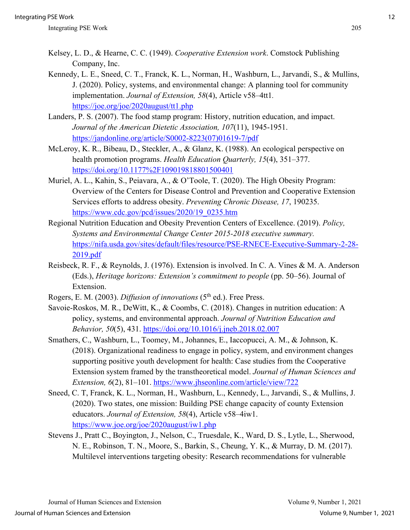- Kelsey, L. D., & Hearne, C. C. (1949). *Cooperative Extension work*. Comstock Publishing Company, Inc.
- Kennedy, L. E., Sneed, C. T., Franck, K. L., Norman, H., Washburn, L., Jarvandi, S., & Mullins, J. (2020). Policy, systems, and environmental change: A planning tool for community implementation. *Journal of Extension, 58*(4), Article v58–4tt1*.* <https://joe.org/joe/2020august/tt1.php>
- Landers, P. S. (2007). The food stamp program: History, nutrition education, and impact. *Journal of the American Dietetic Association, 107*(11), 1945-1951. [https://jandonline.org/article/S0002-8223\(07\)01619-7/pdf](https://jandonline.org/article/S0002-8223(07)01619-7/pdf)
- McLeroy, K. R., Bibeau, D., Steckler, A., & Glanz, K. (1988). An ecological perspective on health promotion programs. *Health Education Quarterly, 15*(4), 351–377. <https://doi.org/10.1177%2F109019818801500401>
- Muriel, A. L., Kahin, S., Peiavara, A., & O'Toole, T. (2020). The High Obesity Program: Overview of the Centers for Disease Control and Prevention and Cooperative Extension Services efforts to address obesity. *Preventing Chronic Disease, 17*, 190235. [https://www.cdc.gov/pcd/issues/2020/19\\_0235.htm](https://www.cdc.gov/pcd/issues/2020/19_0235.htm)
- Regional Nutrition Education and Obesity Prevention Centers of Excellence. (2019). *Policy, Systems and Environmental Change Center 2015-2018 executive summary.*  [https://nifa.usda.gov/sites/default/files/resource/PSE-RNECE-Executive-Summary-2-28-](https://nifa.usda.gov/sites/default/files/resource/PSE-RNECE-Executive-Summary-2-28-2019.pdf) [2019.pdf](https://nifa.usda.gov/sites/default/files/resource/PSE-RNECE-Executive-Summary-2-28-2019.pdf)
- Reisbeck, R. F., & Reynolds, J. (1976). Extension is involved. In C. A. Vines & M. A. Anderson (Eds.), *Heritage horizons: Extension's commitment to people* (pp. 50–56). Journal of Extension.
- Rogers, E. M. (2003). *Diffusion of innovations* (5<sup>th</sup> ed.). Free Press.
- Savoie-Roskos, M. R., DeWitt, K., & Coombs, C. (2018). Changes in nutrition education: A policy, systems, and environmental approach. *Journal of Nutrition Education and Behavior, 50*(5), 431.<https://doi.org/10.1016/j.jneb.2018.02.007>
- Smathers, C., Washburn, L., Toomey, M., Johannes, E., Iaccopucci, A. M., & Johnson, K. (2018). Organizational readiness to engage in policy, system, and environment changes supporting positive youth development for health: Case studies from the Cooperative Extension system framed by the transtheoretical model. *Journal of Human Sciences and Extension, 6*(2), 81–101.<https://www.jhseonline.com/article/view/722>
- Sneed, C. T, Franck, K. L., Norman, H., Washburn, L., Kennedy, L., Jarvandi, S., & Mullins, J. (2020). Two states, one mission: Building PSE change capacity of county Extension educators. *Journal of Extension, 58*(4), Article v58–4iw1. <https://www.joe.org/joe/2020august/iw1.php>
- Stevens J., Pratt C., Boyington, J., Nelson, C., Truesdale, K., Ward, D. S., Lytle, L., Sherwood, N. E., Robinson, T. N., Moore, S., Barkin, S., Cheung, Y. K., & Murray, D. M. (2017). Multilevel interventions targeting obesity: Research recommendations for vulnerable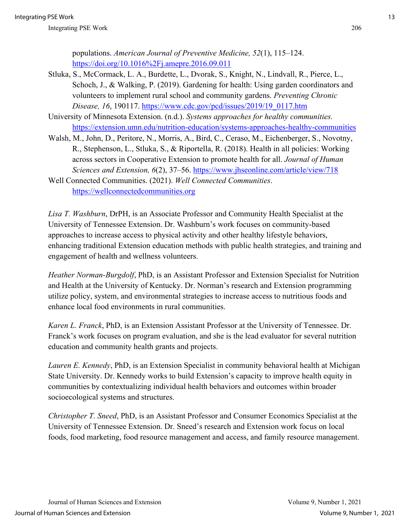- Stluka, S., McCormack, L. A., Burdette, L., Dvorak, S., Knight, N., Lindvall, R., Pierce, L., Schoch, J., & Walking, P. (2019). Gardening for health: Using garden coordinators and volunteers to implement rural school and community gardens. *Preventing Chronic Disease, 16*, 190117. [https://www.cdc.gov/pcd/issues/2019/19\\_0117.htm](https://www.cdc.gov/pcd/issues/2019/19_0117.htm)
- University of Minnesota Extension. (n.d.). *Systems approaches for healthy communities.*  <https://extension.umn.edu/nutrition-education/systems-approaches-healthy-communities>
- Walsh, M., John, D., Peritore, N., Morris, A., Bird, C., Ceraso, M., Eichenberger, S., Novotny, R., Stephenson, L., Stluka, S., & Riportella, R. (2018). Health in all policies: Working across sectors in Cooperative Extension to promote health for all. *Journal of Human Sciences and Extension, 6*(2), 37–56.<https://www.jhseonline.com/article/view/718>
- Well Connected Communities. (2021). *Well Connected Communities*. [https://wellconnectedcommunities.org](https://wellconnectedcommunities.org/)

*Lisa T. Washburn*, DrPH, is an Associate Professor and Community Health Specialist at the University of Tennessee Extension. Dr. Washburn's work focuses on community-based approaches to increase access to physical activity and other healthy lifestyle behaviors, enhancing traditional Extension education methods with public health strategies, and training and engagement of health and wellness volunteers.

*Heather Norman-Burgdolf*, PhD, is an Assistant Professor and Extension Specialist for Nutrition and Health at the University of Kentucky. Dr. Norman's research and Extension programming utilize policy, system, and environmental strategies to increase access to nutritious foods and enhance local food environments in rural communities.

*Karen L. Franck*, PhD, is an Extension Assistant Professor at the University of Tennessee. Dr. Franck's work focuses on program evaluation, and she is the lead evaluator for several nutrition education and community health grants and projects.

*Lauren E. Kennedy*, PhD, is an Extension Specialist in community behavioral health at Michigan State University. Dr. Kennedy works to build Extension's capacity to improve health equity in communities by contextualizing individual health behaviors and outcomes within broader socioecological systems and structures.

*Christopher T. Sneed*, PhD, is an Assistant Professor and Consumer Economics Specialist at the University of Tennessee Extension. Dr. Sneed's research and Extension work focus on local foods, food marketing, food resource management and access, and family resource management.